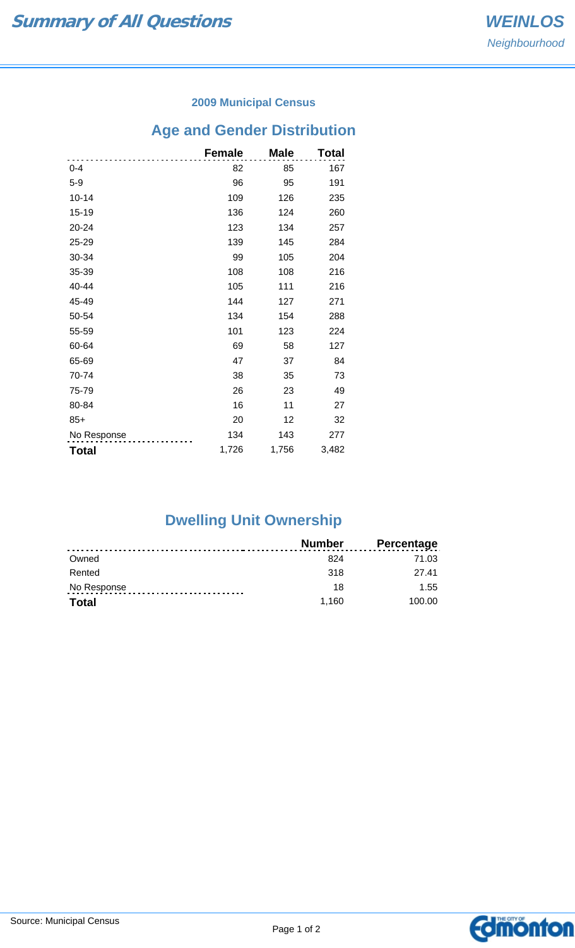### **2009 Municipal Census**

## **Age and Gender Distribution**

|              | <b>Female</b> | <b>Male</b> | Total |
|--------------|---------------|-------------|-------|
| $0 - 4$      | 82            | 85          | 167   |
| $5-9$        | 96            | 95          | 191   |
| $10 - 14$    | 109           | 126         | 235   |
| 15-19        | 136           | 124         | 260   |
| 20-24        | 123           | 134         | 257   |
| 25-29        | 139           | 145         | 284   |
| 30-34        | 99            | 105         | 204   |
| 35-39        | 108           | 108         | 216   |
| 40-44        | 105           | 111         | 216   |
| 45-49        | 144           | 127         | 271   |
| 50-54        | 134           | 154         | 288   |
| 55-59        | 101           | 123         | 224   |
| 60-64        | 69            | 58          | 127   |
| 65-69        | 47            | 37          | 84    |
| 70-74        | 38            | 35          | 73    |
| 75-79        | 26            | 23          | 49    |
| 80-84        | 16            | 11          | 27    |
| $85+$        | 20            | 12          | 32    |
| No Response  | 134           | 143         | 277   |
| <b>Total</b> | 1,726         | 1,756       | 3,482 |

# **Dwelling Unit Ownership**

|              | Number | <b>Percentage</b> |
|--------------|--------|-------------------|
| Owned        | 824    | 71.03             |
| Rented       | 318    | 27 41             |
| No Response  | 18     | 1.55              |
| <b>Total</b> | 1.160  | 100.00            |